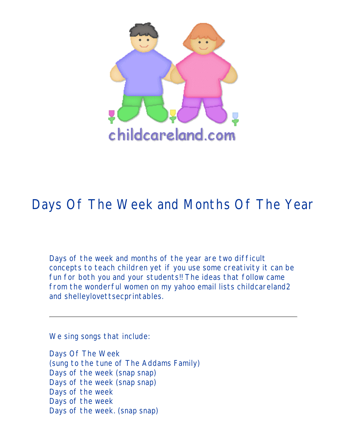

## Days Of The Week and Months Of The Year

Days of the week and months of the year are two difficult concepts to teach children yet if you use some creativity it can be fun for both you and your students!! The ideas that follow came from the wonderful women on my yahoo email lists childcareland2 and shelleylovettsecprintables.

We sing songs that include:

Days Of The Week (sung to the tune of The Addams Family) Days of the week (snap snap) Days of the week (snap snap) Days of the week Days of the week Days of the week. (snap snap)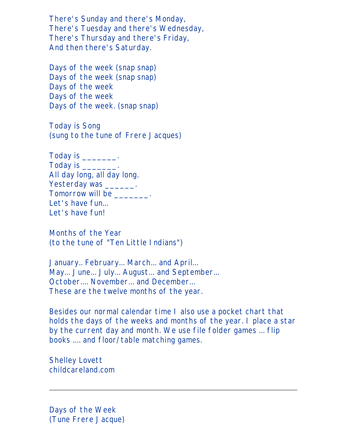There's Sunday and there's Monday, There's Tuesday and there's Wednesday, There's Thursday and there's Friday, And then there's Saturday.

Days of the week (snap snap) Days of the week (snap snap) Days of the week Days of the week Days of the week. (snap snap)

Today is Song (sung to the tune of Frere Jacques)

Today is \_\_\_\_\_\_\_\_\_. Today is \_\_\_\_\_\_\_\_. All day long, all day long. Yesterday was \_\_\_\_\_\_\_. Tomorrow will be \_\_\_\_\_\_\_. Let's have fun... Let's have fun!

Months of the Year (to the tune of "Ten Little Indians")

January.. February... March... and April... May... June... July... August... and September... October.... November... and December... These are the twelve months of the year.

Besides our normal calendar time I also use a pocket chart that holds the days of the weeks and months of the year. I place a star by the current day and month. We use file folder games ... flip books .... and floor/table matching games.

Shelley Lovett childcareland.com

Days of the Week (Tune Frere Jacque)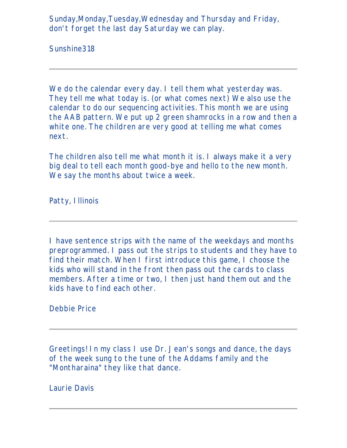Sunday,Monday,Tuesday,Wednesday and Thursday and Friday, don't forget the last day Saturday we can play.

Sunshine318

We do the calendar every day. I tell them what yesterday was. They tell me what today is. (or what comes next) We also use the calendar to do our sequencing activities. This month we are using the AAB pattern. We put up 2 green shamrocks in a row and then a white one. The children are very good at telling me what comes next.

The children also tell me what month it is. I always make it a very big deal to tell each month good-bye and hello to the new month. We say the months about twice a week.

Patty, Illinois

I have sentence strips with the name of the weekdays and months preprogrammed. I pass out the strips to students and they have to find their match. When I first introduce this game, I choose the kids who will stand in the front then pass out the cards to class members. After a time or two, I then just hand them out and the kids have to find each other.

Debbie Price

Greetings! In my class I use Dr. Jean's songs and dance, the days of the week sung to the tune of the Addams family and the "Montharaina" they like that dance.

Laurie Davis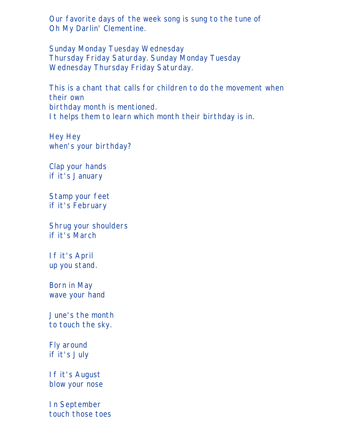Our favorite days of the week song is sung to the tune of Oh My Darlin' Clementine.

Sunday Monday Tuesday Wednesday Thursday Friday Saturday. Sunday Monday Tuesday Wednesday Thursday Friday Saturday.

This is a chant that calls for children to do the movement when their own birthday month is mentioned. It helps them to learn which month their birthday is in.

Hey Hey when's your birthday?

Clap your hands if it's January

Stamp your feet if it's February

Shrug your shoulders if it's March

If it's April up you stand.

Born in May wave your hand

June's the month to touch the sky.

Fly around if it's July

If it's August blow your nose

In September touch those toes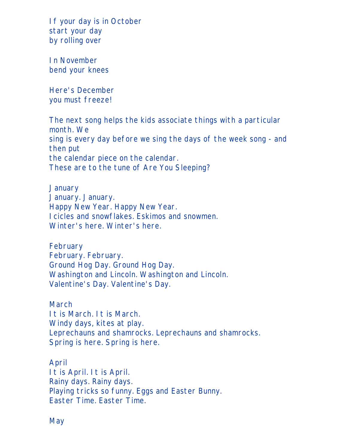If your day is in October start your day by rolling over

In November bend your knees

Here's December you must freeze!

The next song helps the kids associate things with a particular month. We sing is every day before we sing the days of the week song - and then put the calendar piece on the calendar. These are to the tune of Are You Sleeping?

**January** January. January. Happy New Year. Happy New Year. Icicles and snowflakes. Eskimos and snowmen. Winter's here. Winter's here.

February February. February. Ground Hog Day. Ground Hog Day. Washington and Lincoln. Washington and Lincoln. Valentine's Day. Valentine's Day.

March It is March. It is March. Windy days, kites at play. Leprechauns and shamrocks. Leprechauns and shamrocks. Spring is here. Spring is here.

April It is April. It is April. Rainy days. Rainy days. Playing tricks so funny. Eggs and Easter Bunny. Easter Time. Easter Time.

May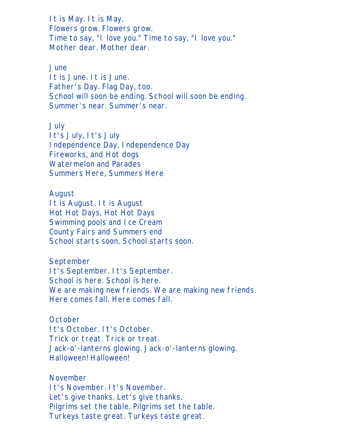It is May. It is May. Flowers grow. Flowers grow. Time to say, "I love you." Time to say, "I love you." Mother dear. Mother dear.

June

It is June. It is June. Father's Day. Flag Day, too. School will soon be ending. School will soon be ending. Summer's near. Summer's near.

July It's July, It's July Independence Day, Independence Day Fireworks, and Hot dogs Watermelon and Parades Summers Here, Summers Here

August It is August, It is August Hot Hot Days, Hot Hot Days Swimming pools and Ice Cream County Fairs and Summers end School starts soon, School starts soon.

September It's September. It's September. School is here. School is here. We are making new friends. We are making new friends. Here comes fall. Here comes fall.

**October** It's October. It's October. Trick or treat. Trick or treat. Jack-o'-lanterns glowing. Jack-o'-lanterns glowing. Halloween! Halloween!

November It's November. It's November. Let's give thanks. Let's give thanks. Pilgrims set the table. Pilgrims set the table. Turkeys taste great. Turkeys taste great.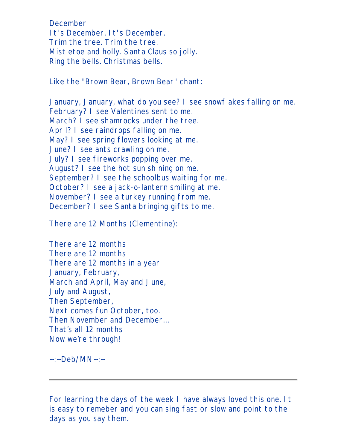December It's December. It's December. Trim the tree. Trim the tree. Mistletoe and holly. Santa Claus so jolly. Ring the bells. Christmas bells.

Like the "Brown Bear, Brown Bear" chant:

January, January, what do you see? I see snowflakes falling on me. February? I see Valentines sent to me. March? I see shamrocks under the tree. April? I see raindrops falling on me. May? I see spring flowers looking at me. June? I see ants crawling on me. July? I see fireworks popping over me. August? I see the hot sun shining on me. September? I see the schoolbus waiting for me. October? I see a jack-o-lantern smiling at me. November? I see a turkey running from me. December? I see Santa bringing gifts to me.

There are 12 Months (Clementine):

There are 12 months There are 12 months There are 12 months in a year January, February, March and April, May and June, July and August, Then September, Next comes fun October, too. Then November and December… That's all 12 months Now we're through!

 $\sim$ :~Deb/MN~:~

For learning the days of the week I have always loved this one. It is easy to remeber and you can sing fast or slow and point to the days as you say them.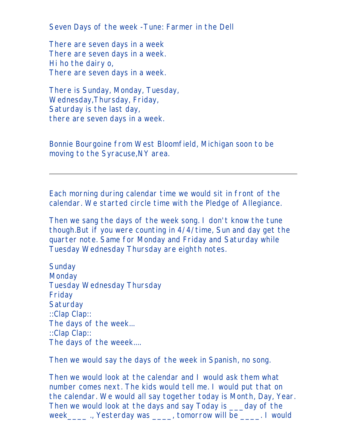Seven Days of the week -Tune: Farmer in the Dell

There are seven days in a week There are seven days in a week. Hi ho the dairy o, There are seven days in a week.

There is Sunday, Monday, Tuesday, Wednesday,Thursday, Friday, Saturday is the last day, there are seven days in a week.

Bonnie Bourgoine from West Bloomfield, Michigan soon to be moving to the Syracuse,NY area.

Each morning during calendar time we would sit in front of the calendar. We started circle time with the Pledge of Allegiance.

Then we sang the days of the week song. I don't know the tune though.But if you were counting in 4/4/time, Sun and day get the quarter note. Same for Monday and Friday and Saturday while Tuesday Wednesday Thursday are eighth notes.

**Sunday Monday** Tuesday Wednesday Thursday Friday **Saturday** ::Clap Clap:: The days of the week... ::Clap Clap:: The days of the weeek....

Then we would say the days of the week in Spanish, no song.

Then we would look at the calendar and I would ask them what number comes next. The kids would tell me. I would put that on the calendar. We would all say together today is Month, Day, Year. Then we would look at the days and say Today is \_\_\_day of the week\_\_\_\_ ., Yesterday was \_\_\_\_, tomorrow will be \_\_\_\_. I would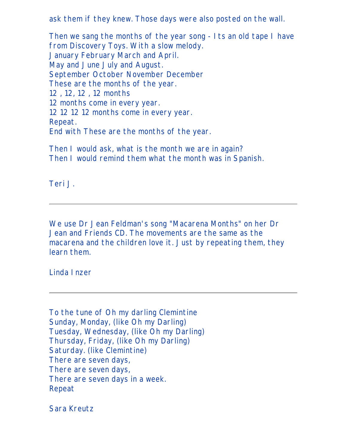ask them if they knew. Those days were also posted on the wall.

Then we sang the months of the year song - Its an old tape I have from Discovery Toys. With a slow melody. January February March and April. May and June July and August. September October November December These are the months of the year. 12 , 12, 12 , 12 months 12 months come in every year. 12 12 12 12 months come in every year. Repeat. End with These are the months of the year.

Then I would ask, what is the month we are in again? Then I would remind them what the month was in Spanish.

Teri J.

We use Dr Jean Feldman's song "Macarena Months" on her Dr Jean and Friends CD. The movements are the same as the macarena and the children love it. Just by repeating them, they learn them.

Linda Inzer

To the tune of Oh my darling Clemintine Sunday, Monday, (like Oh my Darling) Tuesday, Wednesday, (like Oh my Darling) Thursday, Friday, (like Oh my Darling) Saturday. (like Clemintine) There are seven days, There are seven days, There are seven days in a week. Repeat

Sara Kreutz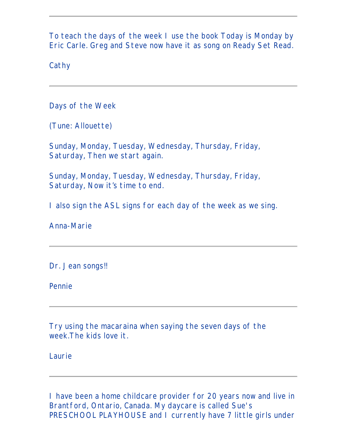To teach the days of the week I use the book Today is Monday by Eric Carle. Greg and Steve now have it as song on Ready Set Read.

**Cathy** 

Days of the Week

(Tune: Allouette)

Sunday, Monday, Tuesday, Wednesday, Thursday, Friday, Saturday, Then we start again.

Sunday, Monday, Tuesday, Wednesday, Thursday, Friday, Saturday, Now it's time to end.

I also sign the ASL signs for each day of the week as we sing.

Anna-Marie

Dr. Jean songs!!

Pennie

Try using the macaraina when saying the seven days of the week.The kids love it.

Laurie

I have been a home childcare provider for 20 years now and live in Brantford, Ontario, Canada. My daycare is called Sue's PRESCHOOL PLAYHOUSE and I currently have 7 little girls under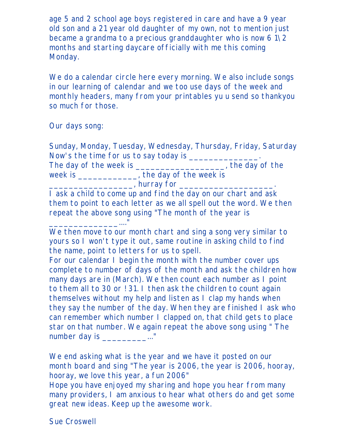age 5 and 2 school age boys registered in care and have a 9 year old son and a 21 year old daughter of my own, not to mention just became a grandma to a precious granddaughter who is now  $61\sqrt{2}$ months and starting daycare officially with me this coming Monday.

We do a calendar circle here every morning. We also include songs in our learning of calendar and we too use days of the week and monthly headers, many from your printables yu u send so thankyou so much for those.

Our days song:

Sunday, Monday, Tuesday, Wednesday, Thursday, Friday, Saturday Now's the time for us to say today is \_\_\_\_\_\_\_\_\_\_\_\_\_\_. The day of the week is \_\_\_\_\_\_\_\_\_\_\_\_\_\_\_\_\_\_\_, the day of the week is \_\_\_\_\_\_\_\_\_\_\_, the day of the week is  $\frac{1}{\sqrt{2\pi}}$ , hurray for  $\frac{1}{\sqrt{2\pi}}$ 

I ask a child to come up and find the day on our chart and ask them to point to each letter as we all spell out the word. We then repeat the above song using "The month of the year is \_\_\_\_\_\_\_\_\_\_\_\_\_\_...."

We then move to our month chart and sing a song very similar to yours so I won't type it out, same routine in asking child to find the name, point to letters for us to spell.

For our calendar I begin the month with the number cover ups complete to number of days of the month and ask the children how many days are in (March). We then count each number as I point to them all to 30 or ! 31. I then ask the children to count again themselves without my help and listen as I clap my hands when they say the number of the day. When they are finished I ask who can remember which number I clapped on, that child gets to place star on that number. We again repeat the above song using " The number day is \_\_\_\_\_\_\_\_\_\_\_..."

We end asking what is the year and we have it posted on our month board and sing "The year is 2006, the year is 2006, hooray, hooray, we love this year, a fun 2006"

Hope you have enjoyed my sharing and hope you hear from many many providers, I am anxious to hear what others do and get some great new ideas. Keep up the awesome work.

Sue Croswell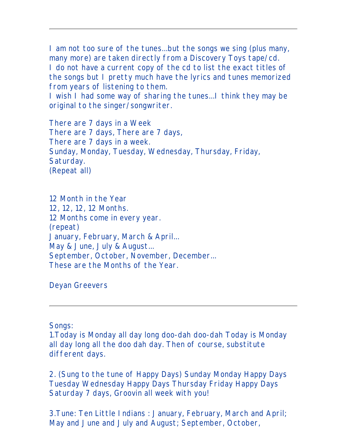I am not too sure of the tunes...but the songs we sing (plus many, many more) are taken directly from a Discovery Toys tape/cd. I do not have a current copy of the cd to list the exact titles of the songs but I pretty much have the lyrics and tunes memorized from years of listening to them.

I wish I had some way of sharing the tunes...I think they may be original to the singer/songwriter.

There are 7 days in a Week There are 7 days, There are 7 days, There are 7 days in a week. Sunday, Monday, Tuesday, Wednesday, Thursday, Friday, Saturday. (Repeat all)

12 Month in the Year 12, 12, 12, 12 Months. 12 Months come in every year. (repeat) January, February, March & April... May & June, July & August... September, October, November, December... These are the Months of the Year.

Deyan Greevers

Songs:

1.Today is Monday all day long doo-dah doo-dah Today is Monday all day long all the doo dah day. Then of course, substitute different days.

2. (Sung to the tune of Happy Days) Sunday Monday Happy Days Tuesday Wednesday Happy Days Thursday Friday Happy Days Saturday 7 days, Groovin all week with you!

3.Tune: Ten Little Indians : January, February, March and April; May and June and July and August; September, October,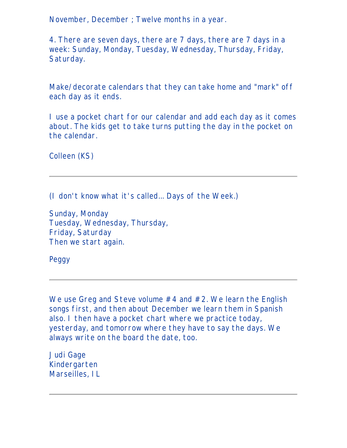November, December ; Twelve months in a year.

4. There are seven days, there are 7 days, there are 7 days in a week: Sunday, Monday, Tuesday, Wednesday, Thursday, Friday, Saturday.

Make/decorate calendars that they can take home and "mark" off each day as it ends.

I use a pocket chart for our calendar and add each day as it comes about. The kids get to take turns putting the day in the pocket on the calendar.

Colleen (KS)

(I don't know what it's called... Days of the Week.)

Sunday, Monday Tuesday, Wednesday, Thursday, Friday, Saturday Then we start again.

Peggy

We use Greg and Steve volume #4 and #2. We learn the English songs first, and then about December we learn them in Spanish also. I then have a pocket chart where we practice today, yesterday, and tomorrow where they have to say the days. We always write on the board the date, too.

Judi Gage Kindergarten Marseilles, IL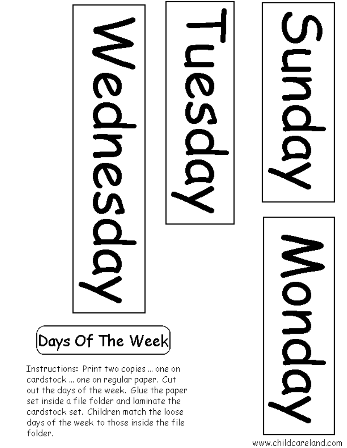**N<br>23** JH<br>J **NON** MUCIU  $\left\vert \mathsf{Days}\; \mathsf{Of}\; \mathsf{The}\; \mathsf{Week}\right\vert$ Instructions: Print two copies ... one on candstock ... one on regular paper. Cutout the days of the week. Glue the paper

set inside a file folder and laminate the cardstock set. Children match the loose days of the week to those inside the file folder.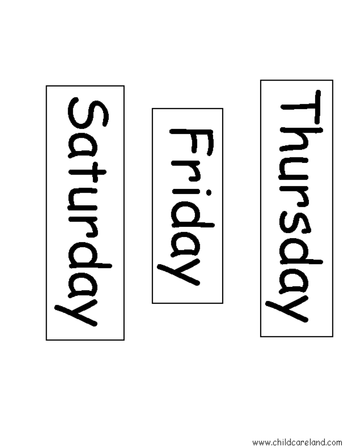

L

**CONS**  $\overline{\mathcal{L}}$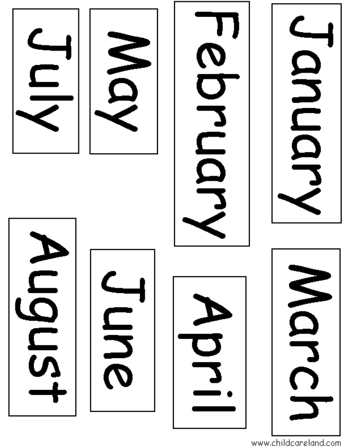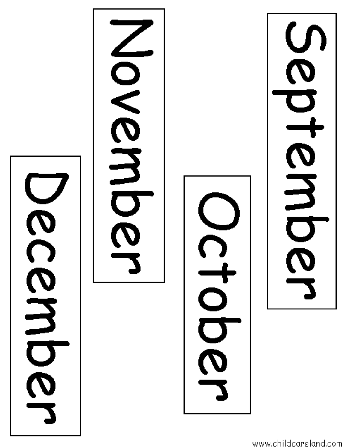

くめくること  $\boldsymbol{\mathcal{O}}$ 

 $\mathbf{O}$  $\bar{\mathcal{O}}$ 

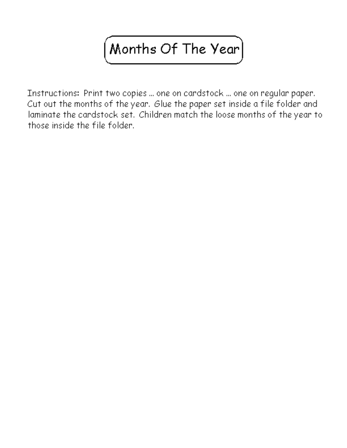## $\big($  Months Of The Year $\big)$

Instructions: Print two copies ... one on cardstock ... one on regular paper. Cut out the months of the year. Glue the paper set inside a file folder and laminate the cardstock set. Children match the loose months of the year to those inside the file folder.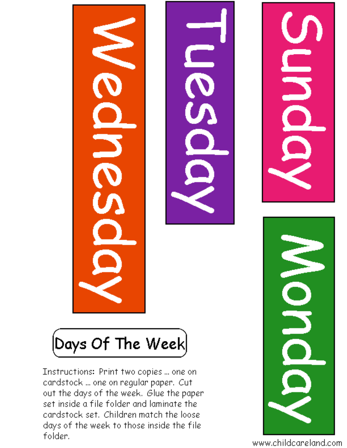$\left[$ Days Of The Week $\right]$ 

Instructions: Print two copies ... one on cardstock ... one on regular paper. Cut out the days of the week. Glue the paper set inside a file folder and laminate the cardstock set. Children match the loose days of the week to those inside the file folder.



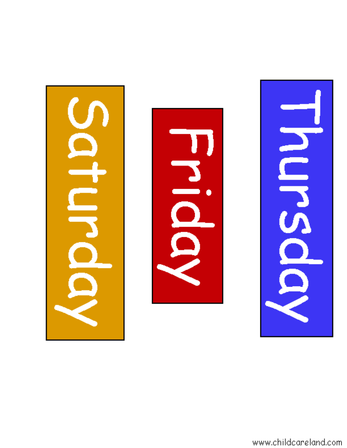



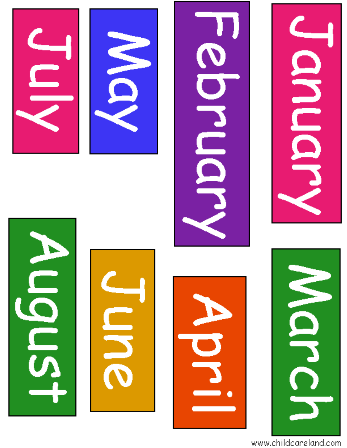









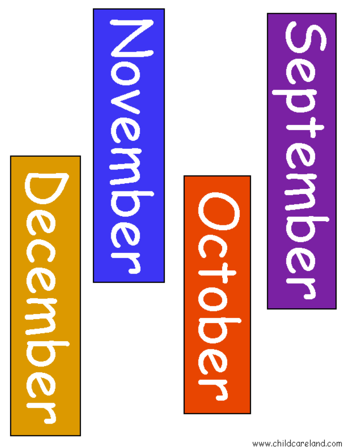



**RIOLE**